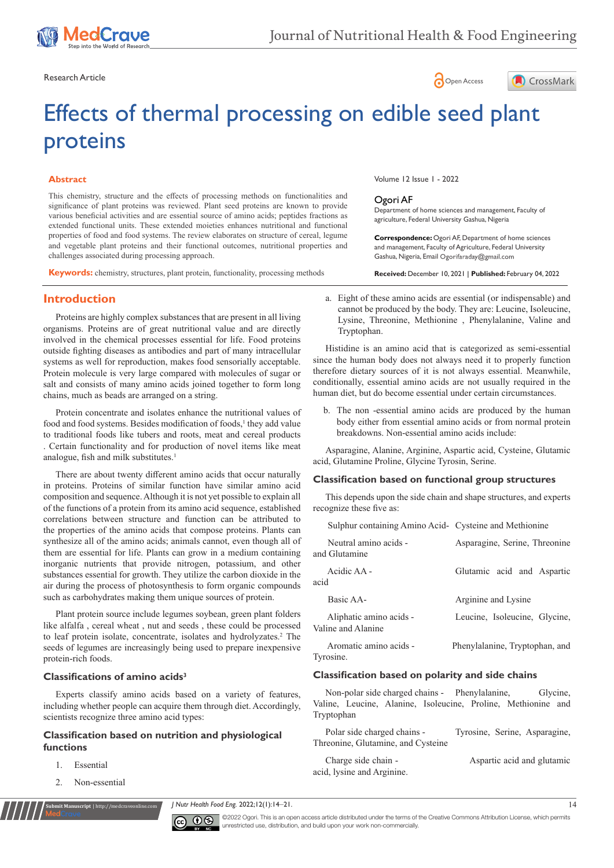

Research Article **Contract Article** open Access **Contract Article** Open Access **Contract Article** 





# Effects of thermal processing on edible seed plant proteins

# **Abstract**

This chemistry, structure and the effects of processing methods on functionalities and significance of plant proteins was reviewed. Plant seed proteins are known to provide various beneficial activities and are essential source of amino acids; peptides fractions as extended functional units. These extended moieties enhances nutritional and functional properties of food and food systems. The review elaborates on structure of cereal, legume and vegetable plant proteins and their functional outcomes, nutritional properties and challenges associated during processing approach.

**Keywords:** chemistry, structures, plant protein, functionality, processing methods

# **Introduction**

Proteins are highly complex substances that are present in all living organisms. Proteins are of great nutritional value and are directly involved in the chemical processes essential for life. Food proteins outside fighting diseases as antibodies and part of many intracellular systems as well for reproduction, makes food sensorially acceptable. Protein molecule is very large compared with molecules of sugar or salt and consists of many amino acids joined together to form long chains, much as beads are arranged on a string.

Protein concentrate and isolates enhance the nutritional values of food and food systems. Besides modification of foods,<sup>1</sup> they add value to traditional foods like tubers and roots, meat and cereal products . Certain functionality and for production of novel items like meat analogue, fish and milk substitutes.<sup>1</sup>

There are about twenty different amino acids that occur naturally in proteins. Proteins of similar function have similar amino acid composition and sequence. Although it is not yet possible to explain all of the functions of a protein from its amino acid sequence, established correlations between structure and function can be attributed to the properties of the amino acids that compose proteins. Plants can synthesize all of the amino acids; animals cannot, even though all of them are essential for life. Plants can grow in a medium containing inorganic nutrients that provide nitrogen, potassium, and other substances essential for growth. They utilize the carbon dioxide in the air during the process of photosynthesis to form organic compounds such as carbohydrates making them unique sources of protein.

Plant protein source include legumes soybean, green plant folders like alfalfa , cereal wheat , nut and seeds , these could be processed to leaf protein isolate, concentrate, isolates and hydrolyzates.<sup>2</sup> The seeds of legumes are increasingly being used to prepare inexpensive protein-rich foods.

# **Classifications of amino acids<sup>3</sup>**

Experts classify amino acids based on a variety of features, including whether people can acquire them through diet. Accordingly, scientists recognize three amino acid types:

# **Classification based on nutrition and physiological functions**

- 1. Essential
- 2. Non-essential

**nuscript** | http://medcraveonlir

Volume 12 Issue 1 - 2022

#### Ogori AF

Department of home sciences and management, Faculty of agriculture, Federal University Gashua, Nigeria

**Correspondence:** Ogori AF, Department of home sciences and management, Faculty of Agriculture, Federal University Gashua, Nigeria, Email Ogorifaraday@gmail.com

**Received:** December 10, 2021 | **Published:** February 04, 2022

a. Eight of these amino acids are essential (or indispensable) and cannot be produced by the body. They are: Leucine, Isoleucine, Lysine, Threonine, Methionine , Phenylalanine, Valine and Tryptophan.

Histidine is an amino acid that is categorized as semi-essential since the human body does not always need it to properly function therefore dietary sources of it is not always essential. Meanwhile, conditionally, essential amino acids are not usually required in the human diet, but do become essential under certain circumstances.

b. The non -essential amino acids are produced by the human body either from essential amino acids or from normal protein breakdowns. Non-essential amino acids include:

Asparagine, Alanine, Arginine, Aspartic acid, Cysteine, Glutamic acid, Glutamine Proline, Glycine Tyrosin, Serine.

# **Classification based on functional group structures**

This depends upon the side chain and shape structures, and experts recognize these five as:

|      | Sulphur containing Amino Acid- Cysteine and Methionine |                                |
|------|--------------------------------------------------------|--------------------------------|
|      | Neutral amino acids -<br>and Glutamine                 | Asparagine, Serine, Threonine  |
| acid | Acidic AA -                                            | Glutamic acid and Aspartic     |
|      | Basic AA-                                              | Arginine and Lysine            |
|      | Aliphatic amino acids -<br>Valine and Alanine          | Leucine, Isoleucine, Glycine,  |
|      | Aromatic amino acids -<br>Tyrosine.                    | Phenylalanine, Tryptophan, and |

# **Classification based on polarity and side chains**

Non-polar side charged chains - Phenylalanine, Glycine, Valine, Leucine, Alanine, Isoleucine, Proline, Methionine and Tryptophan

Polar side charged chains - Tyrosine, Serine, Asparagine, Threonine, Glutamine, and Cysteine

Charge side chain - <br>
Aspartic acid and glutamic acid, lysine and Arginine.



©2022 Ogori. This is an open access article distributed under the terms of the [Creative Commons Attribution License](https://creativecommons.org/licenses/by-nc/4.0/), which permits unrestricted use, distribution, and build upon your work non-commercially.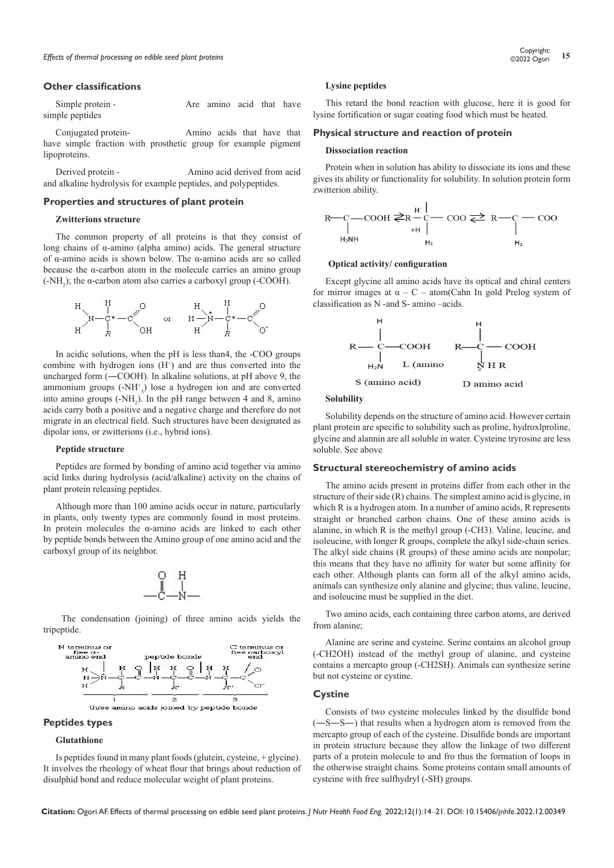#### **Other classifications**

Simple protein - The Are amino acid that have simple peptides

Conjugated protein- Amino acids that have that have simple fraction with prosthetic group for example pigment lipoproteins.

Derived protein - Amino acid derived from acid and alkaline hydrolysis for example peptides, and polypeptides.

#### **Properties and structures of plant protein**

#### **Zwitterions structure**

The common property of all proteins is that they consist of long chains of α-amino (alpha amino) acids. The general structure of α-amino acids is shown below. The α-amino acids are so called because the α-carbon [atom](https://www.britannica.com/science/atom) in the molecule carries an amino group  $(-NH<sub>2</sub>)$ ; the  $\alpha$ -carbon atom also carries a carboxyl group  $(-COOH)$ .



In acidic solutions, when the pH is less than4, the -COO groups combine with hydrogen ions  $(H<sup>+</sup>)$  and are thus converted into the uncharged form (―COOH). In alkaline solutions, at pH above 9, the ammonium groups (-NH+ 3 ) lose a [hydrogen ion](https://www.britannica.com/science/hydrogen-ion) and are converted into amino groups  $(-NH_2)$ . In the pH range between 4 and 8, amino acids carry both a positive and a negative charge and therefore do not migrate in an electrical field. Such structures have been designated as dipolar [ions,](https://www.britannica.com/science/ion-physics) or zwitterions (i.e., hybrid ions).

#### **Peptide structure**

Peptides are formed by bonding of amino acid together via amino acid links during hydrolysis (acid/alkaline) activity on the chains of plant protein releasing peptides.

Although more than 100 amino acids occur in nature, particularly in plants, only twenty types are commonly found in most proteins. In protein molecules the α-amino acids are linked to each other by [peptide](https://www.britannica.com/science/peptide) [bonds](https://www.britannica.com/science/chemical-bonding) between the Amino group of one amino acid and the carboxyl group of its neighbor.



The condensation (joining) of three amino acids yields the tripeptide.



#### **Peptides types**

#### **Glutathione**

Is peptides found in many plant foods (glutein, cysteine, + glycine). It involves the rheology of wheat flour that brings about reduction of disulphid bond and reduce molecular weight of plant proteins.

#### **Lysine peptides**

This retard the bond reaction with glucose, here it is good for lysine fortification or sugar coating food which must be heated.

#### **Physical structure and reaction of protein**

#### **Dissociation reaction**

Protein when in solution has ability to dissociate its ions and these gives its ability or functionality for solubility. In solution protein form zwitterion ability.



#### **Optical activity/ configuration**

Except glycine all amino acids have its optical and chiral centers for mirror images at  $\alpha - C$  – atom(Cahn In gold Prelog system of classification as N -and S- amino –acids.



#### **Solubility**

Solubility depends on the structure of amino acid. However certain plant protein are specific to solubility such as proline, hydroxlproline, glycine and alannin are all soluble in water. Cysteine tryrosine are less soluble. See above

#### **Structural stereochemistry of amino acids**

The amino acids present in proteins differ from each other in the structure of their side (R) chains. The simplest amino acid is glycine, in which R is a hydrogen atom. In a number of amino acids, R represents straight or branched carbon chains. One of these amino acids is alanine, in which R is the methyl group (-CH3). Valine, leucine, and isoleucine, with longer R groups, complete the alkyl side-chain series. The alkyl side chains (R groups) of these amino acids are nonpolar; this means that they have no affinity for water but some affinity for each other. Although plants can form all of the alkyl amino acids, animals can synthesize only alanine and glycine; thus valine, leucine, and isoleucine must be supplied in the diet.

Two amino acids, each containing three carbon atoms, are derived from alanine;

Alanine are serine and cysteine. Serine contains an alcohol group (-CH2OH) instead of the methyl group of alanine, and cysteine contains a mercapto group (-CH2SH). Animals can synthesize serine but not cysteine or cystine.

#### **Cystine**

Consists of two cysteine molecules linked by the disulfide bond (―S―S―) that results when a hydrogen atom is removed from the mercapto group of each of the cysteine. Disulfide bonds are important in protein structure because they allow the linkage of two different parts of a protein molecule to and fro thus the formation of loops in the otherwise straight chains. Some proteins contain small amounts of cysteine with free sulfhydryl (-SH) groups.

**Citation:** Ogori AF. Effects of thermal processing on edible seed plant proteins. *J Nutr Health Food Eng.* 2022;12(1):14‒21. DOI: [10.15406/jnhfe.2022.12.00349](https://doi.org/10.15406/jnhfe.2022.12.00349)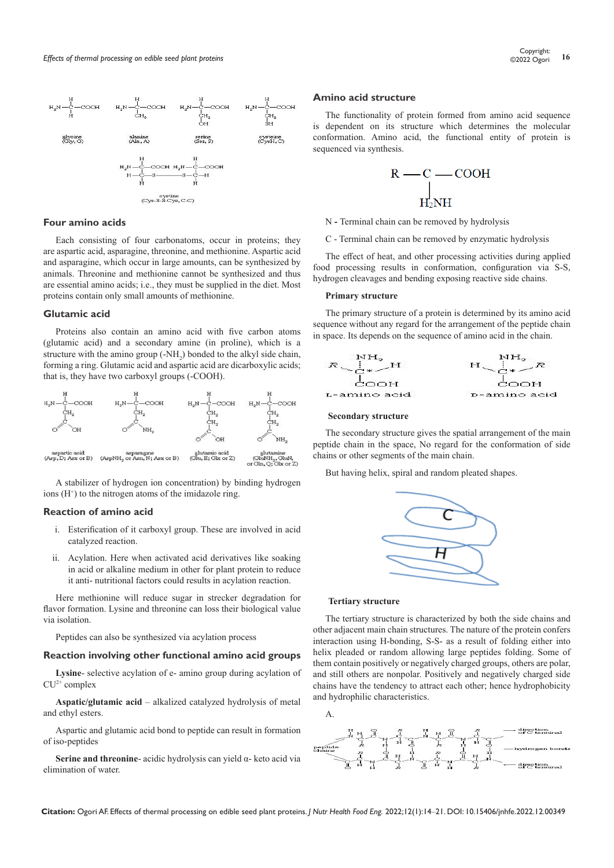

# **Four amino acids**

Each consisting of four carbonatoms, occur in proteins; they are [aspartic acid,](https://www.britannica.com/science/aspartic-acid) [asparagine,](https://www.britannica.com/science/asparagine) [threonine,](https://www.britannica.com/science/threonine) and [methionine](https://www.britannica.com/science/methionine). Aspartic acid and asparagine, which occur in large amounts, can be synthesized by animals. [Threonine](https://www.britannica.com/science/threonine) and [methionine](https://www.britannica.com/science/methionine) cannot be synthesized and thus are essential amino acids; i.e., they must be supplied in the diet. Most proteins contain only small amounts of methionine.

#### **Glutamic acid**

Proteins also contain an amino acid with five carbon atoms (glutamic acid) and a secondary amine (in [proline\)](https://www.britannica.com/science/proline), which is a structure with the amino group  $(-NH_2)$  bonded to the alkyl side chain, forming a ring. [Glutamic acid](https://www.britannica.com/science/glutamic-acid) and aspartic acid are dicarboxylic acids; that is, they have two carboxyl groups (-COOH).



A stabilizer of hydrogen ion concentration) by binding hydrogen ions  $(H<sup>+</sup>)$  to the nitrogen atoms of the imidazole ring.

### **Reaction of amino acid**

- i. Esterification of it carboxyl group. These are involved in acid catalyzed reaction.
- ii. Acylation. Here when activated acid derivatives like soaking in acid or alkaline medium in other for plant protein to reduce it anti- nutritional factors could results in acylation reaction.

Here methionine will reduce sugar in strecker degradation for flavor formation. Lysine and threonine can loss their biological value via isolation.

Peptides can also be synthesized via acylation process

#### **Reaction involving other functional amino acid groups**

**Lysine**- selective acylation of e- amino group during acylation of  $CU<sup>2+</sup> complex$ 

**Aspatic/glutamic acid** – alkalized catalyzed hydrolysis of metal and ethyl esters.

Aspartic and glutamic acid bond to peptide can result in formation of iso-peptides

**Serine and threonine**- acidic hydrolysis can yield α- keto acid via elimination of water.

#### **Amino acid structure**

The functionality of protein formed from amino acid sequence is dependent on its structure which determines the molecular conformation. Amino acid, the functional entity of protein is sequenced via synthesis.



N **-** Terminal chain can be removed by hydrolysis

C - Terminal chain can be removed by enzymatic hydrolysis

The effect of heat, and other processing activities during applied food processing results in conformation, configuration via S-S, hydrogen cleavages and bending exposing reactive side chains.

#### **Primary structure**

The primary structure of a protein is determined by its amino acid sequence without any regard for the arrangement of the peptide chain in space. Its depends on the sequence of amino acid in the chain.



#### **Secondary structure**

The secondary structure gives the spatial arrangement of the main peptide chain in the space, No regard for the conformation of side chains or other segments of the main chain.

But having helix, spiral and random pleated shapes.



#### **Tertiary structure**

The tertiary structure is characterized by both the side chains and other [adjacent](https://www.merriam-webster.com/dictionary/adjacent) main chain structures. The nature of the protein confers interaction using H-bonding, S-S- as a result of folding either into helix pleaded or random allowing large peptides folding. Some of them contain positively or negatively charged groups, others are polar, and still others are nonpolar. Positively and negatively charged side chains have the tendency to attract each other; hence hydrophobicity and hydrophilic characteristics.





**Citation:** Ogori AF. Effects of thermal processing on edible seed plant proteins. *J Nutr Health Food Eng.* 2022;12(1):14‒21. DOI: [10.15406/jnhfe.2022.12.00349](https://doi.org/10.15406/jnhfe.2022.12.00349)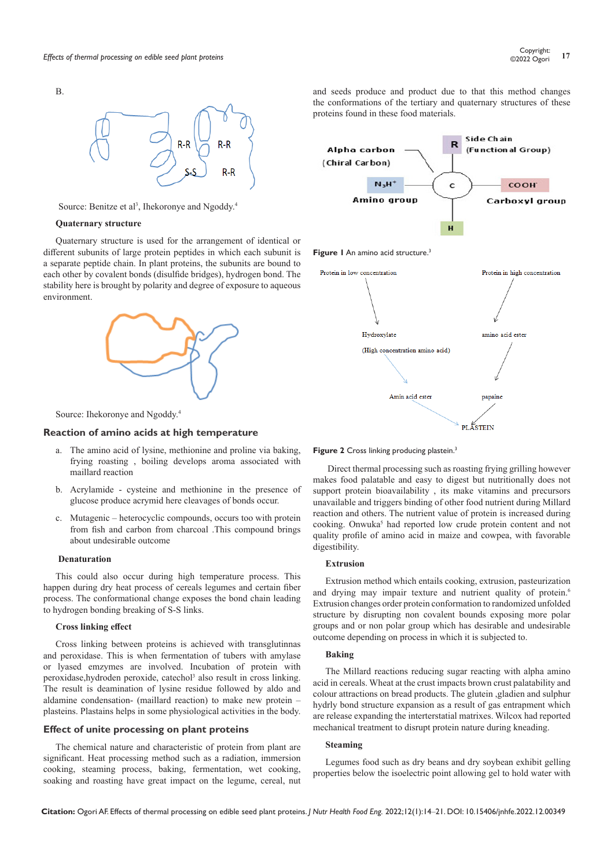

Source: Benitze et al<sup>3</sup>, Ihekoronye and Ngoddy.<sup>4</sup>

#### **Quaternary structure**

B.

Quaternary structure is used for the arrangement of identical or different subunits of large protein peptides in which each subunit is a separate peptide chain. In plant proteins, the subunits are bound to each other by covalent bonds (disulfide bridges), hydrogen bond. The stability here is brought by polarity and degree of exposure to aqueous environment.



Source: Ihekoronye and Ngoddy.4

#### **Reaction of amino acids at high temperature**

- a. The amino acid of lysine, methionine and proline via baking, frying roasting , boiling develops aroma associated with maillard reaction
- b. Acrylamide cysteine and methionine in the presence of glucose produce acrymid here cleavages of bonds occur.
- c. Mutagenic heterocyclic compounds, occurs too with protein from fish and carbon from charcoal .This compound brings about undesirable outcome

#### **Denaturation**

This could also occur during high temperature process. This happen during dry heat process of cereals legumes and certain fiber process. The conformational change exposes the bond chain leading to hydrogen bonding breaking of S-S links.

#### **Cross linking effect**

Cross linking between proteins is achieved with transglutinnas and peroxidase. This is when fermentation of tubers with amylase or lyased emzymes are involved. Incubation of protein with peroxidase, hydroden peroxide, catechol<sup>3</sup> also result in cross linking. The result is deamination of lysine residue followed by aldo and aldamine condensation- (maillard reaction) to make new protein – plasteins. Plastains helps in some physiological activities in the body.

#### **Effect of unite processing on plant proteins**

The chemical nature and characteristic of protein from plant are significant. Heat processing method such as a radiation, immersion cooking, steaming process, baking, fermentation, wet cooking, soaking and roasting have great impact on the legume, cereal, nut

and seeds produce and product due to that this method changes the conformations of the tertiary and quaternary structures of these proteins found in these food materials.



#### Figure 2 Cross linking producing plastein.<sup>3</sup>

Direct thermal processing such as roasting frying grilling however makes food palatable and easy to digest but nutritionally does not support protein bioavailability , its make vitamins and precursors unavailable and triggers binding of other food nutrient during Millard reaction and others. The nutrient value of protein is increased during cooking. Onwuka<sup>5</sup> had reported low crude protein content and not quality profile of amino acid in maize and cowpea, with favorable digestibility.

#### **Extrusion**

Extrusion method which entails cooking, extrusion, pasteurization and drying may impair texture and nutrient quality of protein.<sup>6</sup> Extrusion changes order protein conformation to randomized unfolded structure by disrupting non covalent bounds exposing more polar groups and or non polar group which has desirable and undesirable outcome depending on process in which it is subjected to.

#### **Baking**

The Millard reactions reducing sugar reacting with alpha amino acid in cereals. Wheat at the crust impacts brown crust palatability and colour attractions on bread products. The glutein ,gladien and sulphur hydrly bond structure expansion as a result of gas entrapment which are release expanding the interterstatial matrixes. Wilcox had reported mechanical treatment to disrupt protein nature during kneading.

#### **Steaming**

Legumes food such as dry beans and dry soybean exhibit gelling properties below the isoelectric point allowing gel to hold water with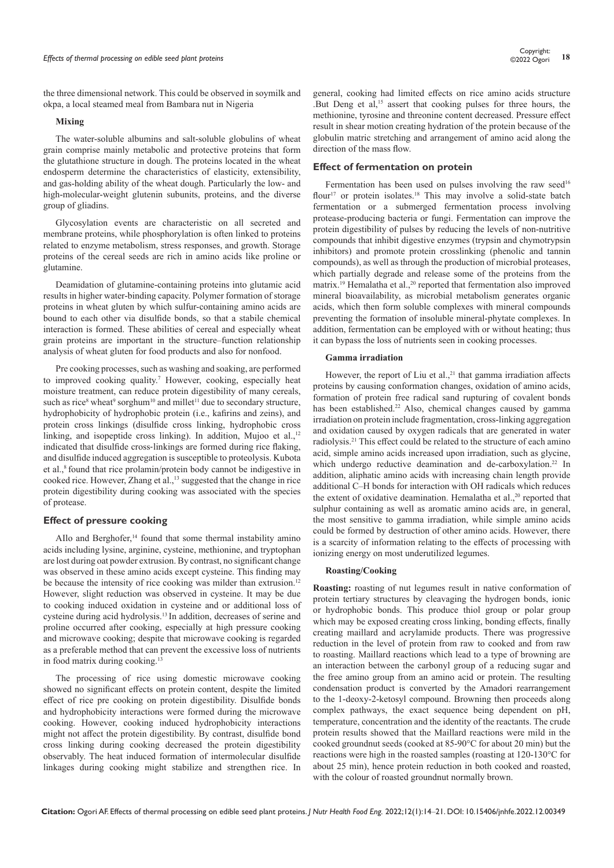the three dimensional network. This could be observed in soymilk and okpa, a local steamed meal from Bambara nut in Nigeria

#### **Mixing**

The water-soluble albumins and salt-soluble globulins of wheat grain comprise mainly metabolic and protective proteins that form the glutathione structure in dough. The proteins located in the wheat endosperm determine the characteristics of elasticity, extensibility, and gas-holding ability of the wheat dough. Particularly the low- and high-molecular-weight glutenin subunits, proteins, and the diverse group of gliadins.

Glycosylation events are characteristic on all secreted and membrane proteins, while phosphorylation is often linked to proteins related to enzyme metabolism, stress responses, and growth. Storage proteins of the cereal seeds are rich in amino acids like proline or glutamine.

Deamidation of glutamine-containing proteins into glutamic acid results in higher water-binding capacity. Polymer formation of storage proteins in wheat gluten by which sulfur-containing amino acids are bound to each other via disulfide bonds, so that a stabile chemical interaction is formed. These abilities of cereal and especially wheat grain proteins are important in the structure–function relationship analysis of wheat gluten for food products and also for nonfood.

Pre cooking processes, such as washing and soaking, are performed to improved cooking quality.<sup>7</sup> However, cooking, especially heat moisture treatment, can reduce protein digestibility of many cereals, such as rice<sup>8</sup> wheat<sup>9</sup> sorghum<sup>10</sup> and millet<sup>11</sup> due to secondary structure, hydrophobicity of hydrophobic protein (i.e., kafirins and zeins), and protein cross linkings (disulfide cross linking, hydrophobic cross linking, and isopeptide cross linking). In addition, Mujoo et al.,<sup>12</sup> indicated that disulfide cross‐linkings are formed during rice flaking, and disulfide induced aggregation is susceptible to proteolysis. Kubota et al.,8 found that rice prolamin/protein body cannot be indigestive in cooked rice. However, Zhang et al.,<sup>13</sup> suggested that the change in rice protein digestibility during cooking was associated with the species of protease.

# **Effect of pressure cooking**

AIlo and Berghofer,<sup>14</sup> found that some thermal instability amino acids including lysine, arginine, cysteine, methionine, and tryptophan are lost during oat powder extrusion. By contrast, no significant change was observed in these amino acids except cysteine. This finding may be because the intensity of rice cooking was milder than extrusion.<sup>12</sup> However, slight reduction was observed in cysteine. It may be due to cooking induced oxidation in cysteine and or additional loss of cysteine during acid hydrolysis.13 In addition, decreases of serine and proline occurred after cooking, especially at high pressure cooking and microwave cooking; despite that microwave cooking is regarded as a preferable method that can prevent the excessive loss of nutrients in food matrix during cooking.<sup>13</sup>

The processing of rice using domestic microwave cooking showed no significant effects on protein content, despite the limited effect of rice pre cooking on protein digestibility. Disulfide bonds and hydrophobicity interactions were formed during the microwave cooking. However, cooking induced hydrophobicity interactions might not affect the protein digestibility. By contrast, disulfide bond cross linking during cooking decreased the protein digestibility observably. The heat induced formation of intermolecular disulfide linkages during cooking might stabilize and strengthen rice. In

general, cooking had limited effects on rice amino acids structure .But Deng et al,<sup>15</sup> assert that cooking pulses for three hours, the methionine, tyrosine and threonine content decreased. Pressure effect result in shear motion creating hydration of the protein because of the globulin matric stretching and arrangement of amino acid along the direction of the mass flow.

# **Effect of fermentation on protein**

Fermentation has been used on pulses involving the raw seed $16$ flour<sup>17</sup> or protein isolates.<sup>18</sup> This may involve a solid-state batch fermentation or a submerged fermentation process involving protease-producing bacteria or fungi. Fermentation can improve the protein digestibility of pulses by reducing the levels of non-nutritive compounds that inhibit digestive enzymes (trypsin and chymotrypsin inhibitors) and promote protein crosslinking (phenolic and tannin compounds), as well as through the production of microbial proteases, which partially degrade and release some of the proteins from the matrix.<sup>19</sup> Hemalatha et al.,<sup>20</sup> reported that fermentation also improved mineral bioavailability, as microbial metabolism generates organic acids, which then form soluble complexes with mineral compounds preventing the formation of insoluble mineral-phytate complexes. In addition, fermentation can be employed with or without heating; thus it can bypass the loss of nutrients seen in cooking processes.

#### **Gamma irradiation**

However, the report of Liu et al., $^{21}$  that gamma irradiation affects proteins by causing conformation changes, oxidation of amino acids, formation of protein free radical sand rupturing of covalent bonds has been established.<sup>22</sup> Also, chemical changes caused by gamma irradiation on protein include fragmentation, cross-linking aggregation and oxidation caused by oxygen radicals that are generated in water radiolysis.21 This effect could be related to the structure of each amino acid, simple amino acids increased upon irradiation, such as glycine, which undergo reductive deamination and de-carboxylation.<sup>22</sup> In addition, aliphatic amino acids with increasing chain length provide additional C–H bonds for interaction with OH radicals which reduces the extent of oxidative deamination. Hemalatha et al.,<sup>20</sup> reported that sulphur containing as well as aromatic amino acids are, in general, the most sensitive to gamma irradiation, while simple amino acids could be formed by destruction of other amino acids. However, there is a scarcity of information relating to the effects of processing with ionizing energy on most underutilized legumes.

# **Roasting/Cooking**

**Roasting:** roasting of nut legumes result in native conformation of protein tertiary structures by cleavaging the hydrogen bonds, ionic or hydrophobic bonds. This produce thiol group or polar group which may be exposed creating cross linking, bonding effects, finally creating maillard and acrylamide products. There was progressive reduction in the level of protein from raw to cooked and from raw to roasting. Maillard reactions which lead to a type of browning are an interaction between the carbonyl group of a reducing sugar and the free amino group from an amino acid or protein. The resulting condensation product is converted by the Amadori rearrangement to the 1-deoxy-2-ketosyl compound. Browning then proceeds along complex pathways, the exact sequence being dependent on pH, temperature, concentration and the identity of the reactants. The crude protein results showed that the Maillard reactions were mild in the cooked groundnut seeds (cooked at 85-90°C for about 20 min) but the reactions were high in the roasted samples (roasting at 120-130°C for about 25 min), hence protein reduction in both cooked and roasted, with the colour of roasted groundnut normally brown.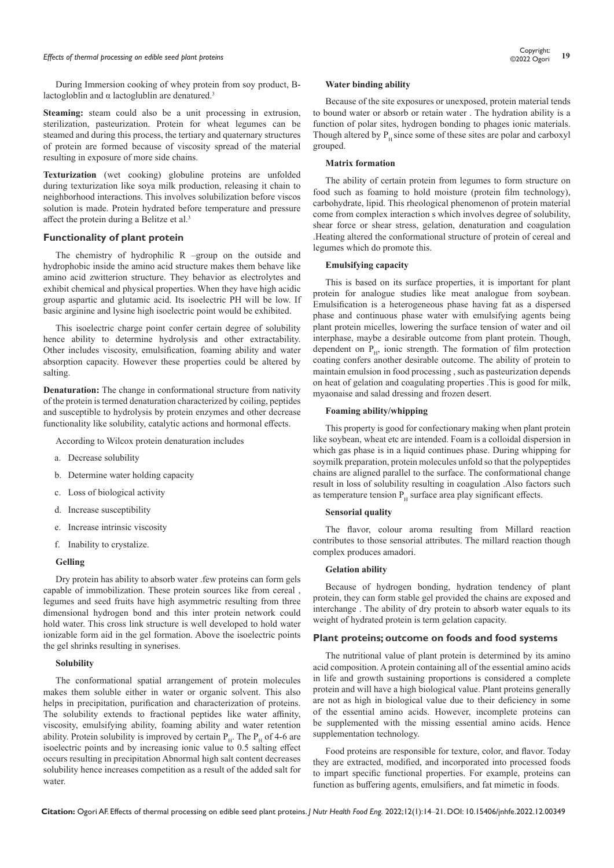# *Effects of thermal processing on edible seed plant proteins* **<sup>19</sup>** Copyright:

During Immersion cooking of whey protein from soy product, Blactogloblin and  $\alpha$  lactoglublin are denatured.<sup>3</sup>

**Steaming:** steam could also be a unit processing in extrusion, sterilization, pasteurization. Protein for wheat legumes can be steamed and during this process, the tertiary and quaternary structures of protein are formed because of viscosity spread of the material resulting in exposure of more side chains.

**Texturization** (wet cooking) globuline proteins are unfolded during texturization like soya milk production, releasing it chain to neighborhood interactions. This involves solubilization before viscos solution is made. Protein hydrated before temperature and pressure affect the protein during a Belitze et al.<sup>3</sup>

#### **Functionality of plant protein**

The chemistry of hydrophilic R –group on the outside and hydrophobic inside the amino acid structure makes them behave like amino acid zwitterion structure. They behavior as electrolytes and exhibit chemical and physical properties. When they have high acidic group aspartic and glutamic acid. Its isoelectric PH will be low. If basic arginine and lysine high isoelectric point would be exhibited.

This isoelectric charge point confer certain degree of solubility hence ability to determine hydrolysis and other extractability. Other includes viscosity, emulsification, foaming ability and water absorption capacity. However these properties could be altered by salting.

**Denaturation:** The change in conformational structure from nativity of the protein is termed denaturation characterized by coiling, peptides and susceptible to hydrolysis by protein enzymes and other decrease functionality like solubility, catalytic actions and hormonal effects.

According to Wilcox protein denaturation includes

- a. Decrease solubility
- b. Determine water holding capacity
- c. Loss of biological activity
- d. Increase susceptibility
- e. Increase intrinsic viscosity
- f. Inability to crystalize.

# **Gelling**

Dry protein has ability to absorb water .few proteins can form gels capable of immobilization. These protein sources like from cereal , legumes and seed fruits have high asymmetric resulting from three dimensional hydrogen bond and this inter protein network could hold water. This cross link structure is well developed to hold water ionizable form aid in the gel formation. Above the isoelectric points the gel shrinks resulting in synerises.

#### **Solubility**

The conformational spatial arrangement of protein molecules makes them soluble either in water or organic solvent. This also helps in precipitation, purification and characterization of proteins. The solubility extends to fractional peptides like water affinity, viscosity, emulsifying ability, foaming ability and water retention ability. Protein solubility is improved by certain  $P_{H}$ . The  $P_{H}$  of 4-6 are isoelectric points and by increasing ionic value to 0.5 salting effect occurs resulting in precipitation Abnormal high salt content decreases solubility hence increases competition as a result of the added salt for water.

#### **Water binding ability**

Because of the site exposures or unexposed, protein material tends to bound water or absorb or retain water . The hydration ability is a function of polar sites, hydrogen bonding to phages ionic materials. Though altered by  $P<sub>H</sub>$  since some of these sites are polar and carboxyl grouped.

#### **Matrix formation**

The ability of certain protein from legumes to form structure on food such as foaming to hold moisture (protein film technology), carbohydrate, lipid. This rheological phenomenon of protein material come from complex interaction s which involves degree of solubility, shear force or shear stress, gelation, denaturation and coagulation .Heating altered the conformational structure of protein of cereal and legumes which do promote this.

#### **Emulsifying capacity**

This is based on its surface properties, it is important for plant protein for analogue studies like meat analogue from soybean. Emulsification is a heterogeneous phase having fat as a dispersed phase and continuous phase water with emulsifying agents being plant protein micelles, lowering the surface tension of water and oil interphase, maybe a desirable outcome from plant protein. Though, dependent on  $P_H$ , ionic strength. The formation of film protection coating confers another desirable outcome. The ability of protein to maintain emulsion in food processing , such as pasteurization depends on heat of gelation and coagulating properties .This is good for milk, myaonaise and salad dressing and frozen desert.

# **Foaming ability/whipping**

This property is good for confectionary making when plant protein like soybean, wheat etc are intended. Foam is a colloidal dispersion in which gas phase is in a liquid continues phase. During whipping for soymilk preparation, protein molecules unfold so that the polypeptides chains are aligned parallel to the surface. The conformational change result in loss of solubility resulting in coagulation .Also factors such as temperature tension  $P_H$  surface area play significant effects.

### **Sensorial quality**

The flavor, colour aroma resulting from Millard reaction contributes to those sensorial attributes. The millard reaction though complex produces amadori.

## **Gelation ability**

Because of hydrogen bonding, hydration tendency of plant protein, they can form stable gel provided the chains are exposed and interchange . The ability of dry protein to absorb water equals to its weight of hydrated protein is term gelation capacity.

#### **Plant proteins; outcome on foods and food systems**

The nutritional value of plant protein is determined by its amino acid composition. A protein containing all of the essential amino acids in life and growth sustaining proportions is considered a complete protein and will have a high biological value. Plant proteins generally are not as high in biological value due to their deficiency in some of the essential amino acids. However, incomplete proteins can be supplemented with the missing essential amino acids. Hence supplementation technology.

Food proteins are responsible for texture, color, and flavor. Today they are extracted, modified, and incorporated into processed foods to impart specific functional properties. For example, proteins can function as buffering agents, emulsifiers, and fat mimetic in foods.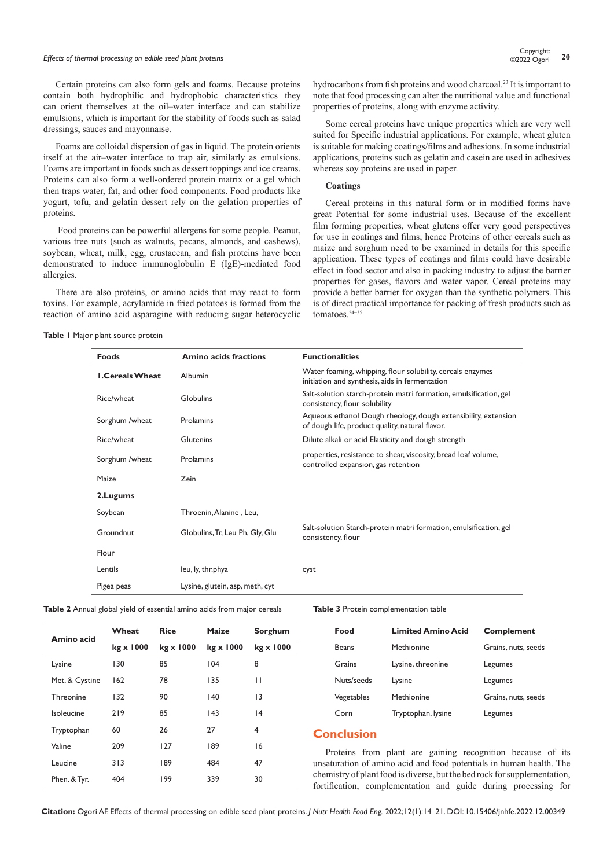# *Effects of thermal processing on edible seed plant proteins* **<sup>20</sup>** Copyright:

Certain proteins can also form gels and foams. Because proteins contain both hydrophilic and hydrophobic characteristics they can orient themselves at the oil–water interface and can stabilize emulsions, which is important for the stability of foods such as salad dressings, sauces and mayonnaise.

Foams are colloidal dispersion of gas in liquid. The protein orients itself at the air–water interface to trap air, similarly as emulsions. Foams are important in foods such as dessert toppings and ice creams. Proteins can also form a well-ordered protein matrix or a gel which then traps water, fat, and other food components. Food products like yogurt, tofu, and gelatin dessert rely on the gelation properties of proteins.

 Food proteins can be powerful allergens for some people. Peanut, various tree nuts (such as walnuts, pecans, almonds, and cashews), soybean, wheat, milk, egg, crustacean, and fish proteins have been demonstrated to induce immunoglobulin E (IgE)-mediated food allergies.

There are also proteins, or amino acids that may react to form toxins. For example, acrylamide in fried potatoes is formed from the reaction of amino acid asparagine with reducing sugar heterocyclic

**Table 1** Major plant source protein

hydrocarbons from fish proteins and wood charcoal.<sup>23</sup> It is important to note that food processing can alter the nutritional value and functional properties of proteins, along with enzyme activity.

Some cereal proteins have unique properties which are very well suited for Specific industrial applications. For example, wheat gluten is suitable for making coatings/films and adhesions. In some industrial applications, proteins such as gelatin and casein are used in adhesives whereas soy proteins are used in paper.

#### **Coatings**

Cereal proteins in this natural form or in modified forms have great Potential for some industrial uses. Because of the excellent film forming properties, wheat glutens offer very good perspectives for use in coatings and films; hence Proteins of other cereals such as maize and sorghum need to be examined in details for this specific application. These types of coatings and films could have desirable effect in food sector and also in packing industry to adjust the barrier properties for gases, flavors and water vapor. Cereal proteins may provide a better barrier for oxygen than the synthetic polymers. This is of direct practical importance for packing of fresh products such as tomatoes.24–35

| <b>Foods</b>           | Amino acids fractions           | <b>Functionalities</b>                                                                                            |
|------------------------|---------------------------------|-------------------------------------------------------------------------------------------------------------------|
| <b>I.Cereals Wheat</b> | Albumin                         | Water foaming, whipping, flour solubility, cereals enzymes<br>initiation and synthesis, aids in fermentation      |
| Rice/wheat             | Globulins                       | Salt-solution starch-protein matri formation, emulsification, gel<br>consistency, flour solubility                |
| Sorghum /wheat         | Prolamins                       | Aqueous ethanol Dough rheology, dough extensibility, extension<br>of dough life, product quality, natural flavor. |
| Rice/wheat             | Glutenins                       | Dilute alkali or acid Elasticity and dough strength                                                               |
| Sorghum /wheat         | Prolamins                       | properties, resistance to shear, viscosity, bread loaf volume,<br>controlled expansion, gas retention             |
| Maize                  | Zein                            |                                                                                                                   |
| 2. Lugums              |                                 |                                                                                                                   |
| Soybean                | Throenin, Alanine, Leu,         |                                                                                                                   |
| Groundnut              | Globulins, Tr, Leu Ph, Gly, Glu | Salt-solution Starch-protein matri formation, emulsification, gel<br>consistency, flour                           |
| Flour                  |                                 |                                                                                                                   |
| Lentils                | leu, ly, thr.phya               | cyst                                                                                                              |
| Pigea peas             | Lysine, glutein, asp, meth, cyt |                                                                                                                   |

| Table 2 Annual global yield of essential amino acids from major cereals |  |  |  |  |  |  |  |
|-------------------------------------------------------------------------|--|--|--|--|--|--|--|
|-------------------------------------------------------------------------|--|--|--|--|--|--|--|

| Amino acid     | Wheat     | <b>Rice</b> | <b>Maize</b> | Sorghum   |  |
|----------------|-----------|-------------|--------------|-----------|--|
|                | kg x 1000 | kg x 1000   | kg x 1000    | kg x 1000 |  |
| Lysine         | 130       | 85          | 104          | 8         |  |
| Met. & Cystine | 162       | 78          | 135          | П         |  |
| Threonine      | 132       | 90          | 140          | 3         |  |
| Isoleucine     | 219       | 85          | 43           | 4         |  |
| Tryptophan     | 60        | 26          | 27           | 4         |  |
| Valine         | 209       | 127         | 189          | 16        |  |
| Leucine        | 313       | 189         | 484          | 47        |  |
| Phen. & Tyr.   | 404       | 199         | 339          | 30        |  |

**Table 3** Protein complementation table

| Food         | <b>Limited Amino Acid</b> | Complement          |
|--------------|---------------------------|---------------------|
| <b>Beans</b> | Methionine                | Grains, nuts, seeds |
| Grains       | Lysine, threonine         | Legumes             |
| Nuts/seeds   | Lysine                    | Legumes             |
| Vegetables   | Methionine                | Grains, nuts, seeds |
| Corn         | Tryptophan, lysine        | Legumes             |
|              |                           |                     |

#### **Conclusion**

Proteins from plant are gaining recognition because of its unsaturation of amino acid and food potentials in human health. The chemistry of plant food is diverse, but the bed rock for supplementation, fortification, complementation and guide during processing for

**Citation:** Ogori AF. Effects of thermal processing on edible seed plant proteins. *J Nutr Health Food Eng.* 2022;12(1):14‒21. DOI: [10.15406/jnhfe.2022.12.00349](https://doi.org/10.15406/jnhfe.2022.12.00349)